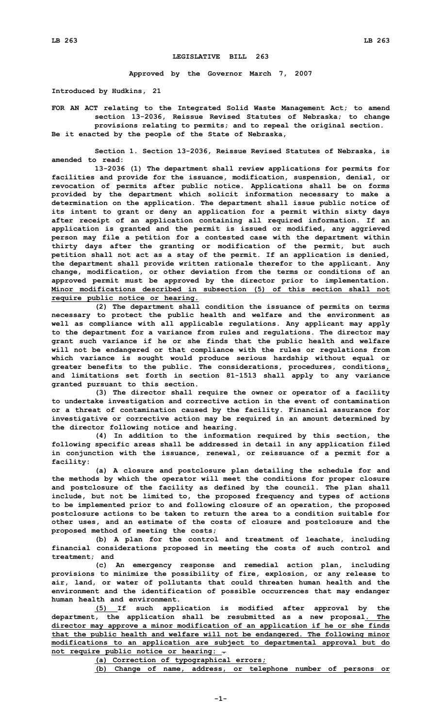## **LEGISLATIVE BILL 263**

**Approved by the Governor March 7, 2007**

**Introduced by Hudkins, 21**

**FOR AN ACT relating to the Integrated Solid Waste Management Act; to amend section 13-2036, Reissue Revised Statutes of Nebraska; to change provisions relating to permits; and to repeal the original section. Be it enacted by the people of the State of Nebraska,**

**Section 1. Section 13-2036, Reissue Revised Statutes of Nebraska, is amended to read:**

**13-2036 (1) The department shall review applications for permits for facilities and provide for the issuance, modification, suspension, denial, or revocation of permits after public notice. Applications shall be on forms provided by the department which solicit information necessary to make <sup>a</sup> determination on the application. The department shall issue public notice of its intent to grant or deny an application for <sup>a</sup> permit within sixty days after receipt of an application containing all required information. If an application is granted and the permit is issued or modified, any aggrieved person may file <sup>a</sup> petition for <sup>a</sup> contested case with the department within thirty days after the granting or modification of the permit, but such petition shall not act as <sup>a</sup> stay of the permit. If an application is denied, the department shall provide written rationale therefor to the applicant. Any change, modification, or other deviation from the terms or conditions of an approved permit must be approved by the director prior to implementation. Minor modifications described in subsection (5) of this section shall not require public notice or hearing.**

**(2) The department shall condition the issuance of permits on terms necessary to protect the public health and welfare and the environment as well as compliance with all applicable regulations. Any applicant may apply to the department for <sup>a</sup> variance from rules and regulations. The director may grant such variance if he or she finds that the public health and welfare will not be endangered or that compliance with the rules or regulations from which variance is sought would produce serious hardship without equal or greater benefits to the public. The considerations, procedures, conditions, and limitations set forth in section 81-1513 shall apply to any variance granted pursuant to this section.**

**(3) The director shall require the owner or operator of <sup>a</sup> facility to undertake investigation and corrective action in the event of contamination or <sup>a</sup> threat of contamination caused by the facility. Financial assurance for investigative or corrective action may be required in an amount determined by the director following notice and hearing.**

**(4) In addition to the information required by this section, the following specific areas shall be addressed in detail in any application filed in conjunction with the issuance, renewal, or reissuance of <sup>a</sup> permit for <sup>a</sup> facility:**

**(a) <sup>A</sup> closure and postclosure plan detailing the schedule for and the methods by which the operator will meet the conditions for proper closure and postclosure of the facility as defined by the council. The plan shall include, but not be limited to, the proposed frequency and types of actions to be implemented prior to and following closure of an operation, the proposed postclosure actions to be taken to return the area to <sup>a</sup> condition suitable for other uses, and an estimate of the costs of closure and postclosure and the proposed method of meeting the costs;**

**(b) <sup>A</sup> plan for the control and treatment of leachate, including financial considerations proposed in meeting the costs of such control and treatment; and**

**(c) An emergency response and remedial action plan, including provisions to minimize the possibility of fire, explosion, or any release to air, land, or water of pollutants that could threaten human health and the environment and the identification of possible occurrences that may endanger human health and environment.**

**(5) If such application is modified after approval by the department, the application shall be resubmitted as <sup>a</sup> new proposal. The director may approve <sup>a</sup> minor modification of an application if he or she finds that the public health and welfare will not be endangered. The following minor modifications to an application are subject to departmental approval but do not require public notice or hearing: .**

**(a) Correction of typographical errors;**

**(b) Change of name, address, or telephone number of persons or**